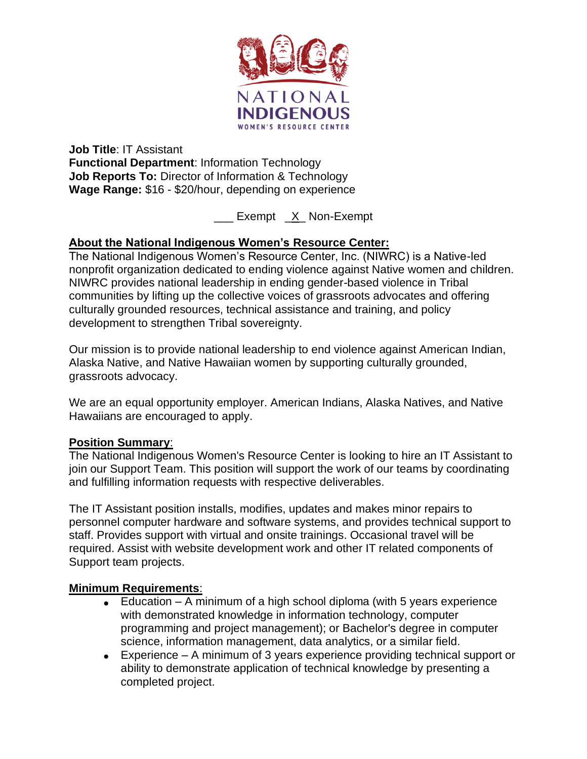

**Job Title**: IT Assistant **Functional Department**: Information Technology **Job Reports To:** Director of Information & Technology **Wage Range:** \$16 - \$20/hour, depending on experience

\_\_\_ Exempt \_X\_ Non-Exempt

# **About the National Indigenous Women's Resource Center:**

The National Indigenous Women's Resource Center, Inc. (NIWRC) is a Native-led nonprofit organization dedicated to ending violence against Native women and children. NIWRC provides national leadership in ending gender-based violence in Tribal communities by lifting up the collective voices of grassroots advocates and offering culturally grounded resources, technical assistance and training, and policy development to strengthen Tribal sovereignty.

Our mission is to provide national leadership to end violence against American Indian, Alaska Native, and Native Hawaiian women by supporting culturally grounded, grassroots advocacy.

We are an equal opportunity employer. American Indians, Alaska Natives, and Native Hawaiians are encouraged to apply.

# **Position Summary**:

The National Indigenous Women's Resource Center is looking to hire an IT Assistant to join our Support Team. This position will support the work of our teams by coordinating and fulfilling information requests with respective deliverables.

The IT Assistant position installs, modifies, updates and makes minor repairs to personnel computer hardware and software systems, and provides technical support to staff. Provides support with virtual and onsite trainings. Occasional travel will be required. Assist with website development work and other IT related components of Support team projects.

# **Minimum Requirements**:

- Education  $-$  A minimum of a high school diploma (with 5 years experience with demonstrated knowledge in information technology, computer programming and project management); or Bachelor's degree in computer science, information management, data analytics, or a similar field.
- Experience A minimum of 3 years experience providing technical support or ability to demonstrate application of technical knowledge by presenting a completed project.